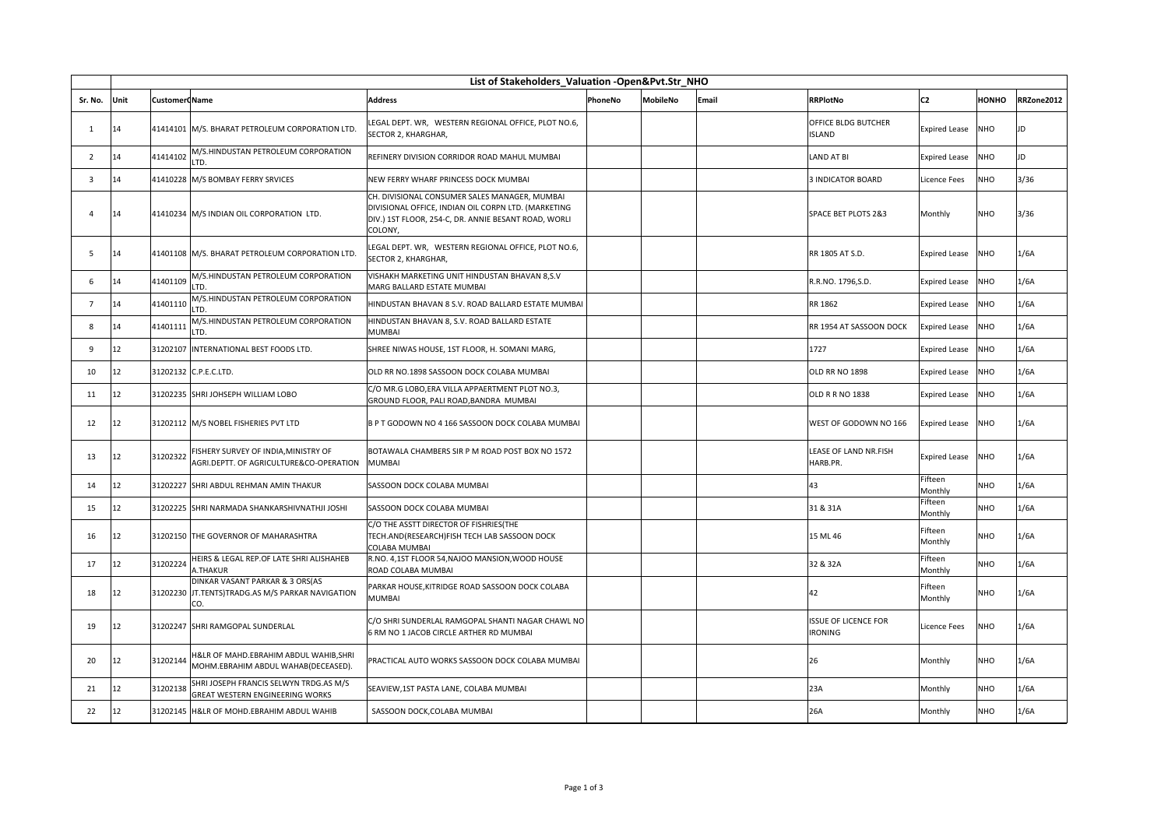|                | List of Stakeholders_Valuation -Open&Pvt.Str_NHO |                      |                                                                                            |                                                                                                                                                                         |         |                 |       |                                               |                      |              |            |
|----------------|--------------------------------------------------|----------------------|--------------------------------------------------------------------------------------------|-------------------------------------------------------------------------------------------------------------------------------------------------------------------------|---------|-----------------|-------|-----------------------------------------------|----------------------|--------------|------------|
| Sr. No.        | Unit                                             | <b>Customer Name</b> |                                                                                            | <b>Address</b>                                                                                                                                                          | PhoneNo | <b>MobileNo</b> | Email | <b>RRPlotNo</b>                               | C <sub>2</sub>       | <b>HONHO</b> | RRZone2012 |
| 1              | 14                                               |                      | 41414101 M/S. BHARAT PETROLEUM CORPORATION LTD.                                            | LEGAL DEPT. WR, WESTERN REGIONAL OFFICE, PLOT NO.6,<br>SECTOR 2, KHARGHAR,                                                                                              |         |                 |       | <b>OFFICE BLDG BUTCHER</b><br><b>ISLAND</b>   | <b>Expired Lease</b> | NHO          | JD         |
| 2              | 14                                               | 41414102             | M/S.HINDUSTAN PETROLEUM CORPORATION<br>LTD.                                                | REFINERY DIVISION CORRIDOR ROAD MAHUL MUMBAI                                                                                                                            |         |                 |       | <b>LAND AT BI</b>                             | Expired Lease        | <b>NHO</b>   | JD         |
| 3              | 14                                               |                      | 41410228 M/S BOMBAY FERRY SRVICES                                                          | NEW FERRY WHARF PRINCESS DOCK MUMBAI                                                                                                                                    |         |                 |       | <b>3 INDICATOR BOARD</b>                      | Licence Fees         | NHO          | 3/36       |
| $\overline{a}$ | 14                                               |                      | 41410234 M/S INDIAN OIL CORPORATION LTD.                                                   | CH. DIVISIONAL CONSUMER SALES MANAGER, MUMBAI<br>DIVISIONAL OFFICE, INDIAN OIL CORPN LTD. (MARKETING<br>DIV.) 1ST FLOOR, 254-C, DR. ANNIE BESANT ROAD, WORLI<br>COLONY, |         |                 |       | SPACE BET PLOTS 2&3                           | Monthly              | <b>NHO</b>   | 3/36       |
| -5             | 14                                               |                      | 41401108 M/S. BHARAT PETROLEUM CORPORATION LTD.                                            | LEGAL DEPT. WR, WESTERN REGIONAL OFFICE, PLOT NO.6,<br>SECTOR 2, KHARGHAR,                                                                                              |         |                 |       | RR 1805 AT S.D.                               | <b>Expired Lease</b> | <b>NHO</b>   | 1/6A       |
| 6              | 14                                               | 41401109             | M/S.HINDUSTAN PETROLEUM CORPORATION<br>LTD.                                                | VISHAKH MARKETING UNIT HINDUSTAN BHAVAN 8,S.V<br>MARG BALLARD ESTATE MUMBAI                                                                                             |         |                 |       | R.R.NO. 1796, S.D.                            | <b>Expired Lease</b> | <b>NHO</b>   | 1/6A       |
| $\overline{7}$ | 14                                               | 41401110             | M/S.HINDUSTAN PETROLEUM CORPORATION<br>LTD.                                                | HINDUSTAN BHAVAN 8 S.V. ROAD BALLARD ESTATE MUMBAI                                                                                                                      |         |                 |       | RR 1862                                       | <b>Expired Lease</b> | NHO          | 1/6A       |
| 8              | 14                                               | 41401111             | M/S.HINDUSTAN PETROLEUM CORPORATION<br>LTD.                                                | HINDUSTAN BHAVAN 8, S.V. ROAD BALLARD ESTATE<br><b>MUMBAI</b>                                                                                                           |         |                 |       | RR 1954 AT SASSOON DOCK                       | <b>Expired Lease</b> | <b>OHV</b>   | 1/6A       |
| 9              | 12                                               |                      | 31202107 INTERNATIONAL BEST FOODS LTD.                                                     | SHREE NIWAS HOUSE, 1ST FLOOR, H. SOMANI MARG,                                                                                                                           |         |                 |       | 1727                                          | <b>Expired Lease</b> | <b>NHO</b>   | 1/6A       |
| 10             | 12                                               |                      | 31202132 C.P.E.C.LTD.                                                                      | OLD RR NO.1898 SASSOON DOCK COLABA MUMBAI                                                                                                                               |         |                 |       | OLD RR NO 1898                                | <b>Expired Lease</b> | NHO          | 1/6A       |
| 11             | 12                                               |                      | 31202235 SHRI JOHSEPH WILLIAM LOBO                                                         | C/O MR.G LOBO, ERA VILLA APPAERTMENT PLOT NO.3,<br>GROUND FLOOR, PALI ROAD, BANDRA MUMBAI                                                                               |         |                 |       | OLD R R NO 1838                               | <b>Expired Lease</b> | <b>NHO</b>   | 1/6A       |
| 12             | 12                                               |                      | 31202112 M/S NOBEL FISHERIES PVT LTD                                                       | B P T GODOWN NO 4 166 SASSOON DOCK COLABA MUMBAI                                                                                                                        |         |                 |       | WEST OF GODOWN NO 166                         | <b>Expired Lease</b> | <b>NHO</b>   | 1/6A       |
| 13             | 12                                               | 31202322             | FISHERY SURVEY OF INDIA, MINISTRY OF<br>AGRI.DEPTT. OF AGRICULTURE&CO-OPERATION            | BOTAWALA CHAMBERS SIR P M ROAD POST BOX NO 1572<br><b>MUMBAI</b>                                                                                                        |         |                 |       | LEASE OF LAND NR.FISH<br>HARB.PR.             | <b>Expired Lease</b> | <b>NHO</b>   | 1/6A       |
| 14             | 12                                               |                      | 31202227 SHRI ABDUL REHMAN AMIN THAKUR                                                     | SASSOON DOCK COLABA MUMBAI                                                                                                                                              |         |                 |       | 43                                            | Fifteen<br>Monthly   | <b>NHO</b>   | 1/6A       |
| 15             | 12                                               |                      | 31202225 SHRI NARMADA SHANKARSHIVNATHJI JOSHI                                              | SASSOON DOCK COLABA MUMBAI                                                                                                                                              |         |                 |       | 31 & 31A                                      | Fifteen<br>Monthly   | <b>NHO</b>   | 1/6A       |
| 16             | 12                                               |                      | 31202150 THE GOVERNOR OF MAHARASHTRA                                                       | C/O THE ASSTT DIRECTOR OF FISHRIES(THE<br>TECH.AND(RESEARCH)FISH TECH LAB SASSOON DOCK<br>COLABA MUMBAI                                                                 |         |                 |       | 15 ML 46                                      | Fifteen<br>Monthly   | <b>NHO</b>   | 1/6A       |
| 17             | 12                                               | 31202224             | HEIRS & LEGAL REP.OF LATE SHRI ALISHAHEB<br>A.THAKUR                                       | R.NO. 4,1ST FLOOR 54, NAJOO MANSION, WOOD HOUSE<br>ROAD COLABA MUMBAI                                                                                                   |         |                 |       | 32 & 32A                                      | Fifteen<br>Monthly   | <b>NHO</b>   | 1/6A       |
| 18             | 12                                               |                      | DINKAR VASANT PARKAR & 3 ORS(AS<br>31202230 JT.TENTS)TRADG.AS M/S PARKAR NAVIGATION<br>CO. | PARKAR HOUSE, KITRIDGE ROAD SASSOON DOCK COLABA<br><b>MUMBAI</b>                                                                                                        |         |                 |       | 42                                            | Fifteen<br>Monthly   | <b>NHO</b>   | 1/6A       |
| 19             | 12                                               |                      | 31202247 SHRI RAMGOPAL SUNDERLAL                                                           | C/O SHRI SUNDERLAL RAMGOPAL SHANTI NAGAR CHAWL NO<br>6 RM NO 1 JACOB CIRCLE ARTHER RD MUMBAI                                                                            |         |                 |       | <b>ISSUE OF LICENCE FOR</b><br><b>IRONING</b> | Licence Fees         | <b>NHO</b>   | 1/6A       |
| 20             | 12                                               | 31202144             | H&LR OF MAHD.EBRAHIM ABDUL WAHIB, SHRI<br>MOHM.EBRAHIM ABDUL WAHAB(DECEASED).              | PRACTICAL AUTO WORKS SASSOON DOCK COLABA MUMBAI                                                                                                                         |         |                 |       | 26                                            | Monthly              | <b>NHO</b>   | 1/6A       |
| 21             | 12                                               | 31202138             | SHRI JOSEPH FRANCIS SELWYN TRDG.AS M/S<br><b>GREAT WESTERN ENGINEERING WORKS</b>           | SEAVIEW,1ST PASTA LANE, COLABA MUMBAI                                                                                                                                   |         |                 |       | 23A                                           | Monthly              | <b>NHO</b>   | 1/6A       |
| 22             | 12                                               |                      | 31202145 H&LR OF MOHD.EBRAHIM ABDUL WAHIB                                                  | SASSOON DOCK, COLABA MUMBAI                                                                                                                                             |         |                 |       | 26A                                           | Monthly              | <b>NHO</b>   | 1/6A       |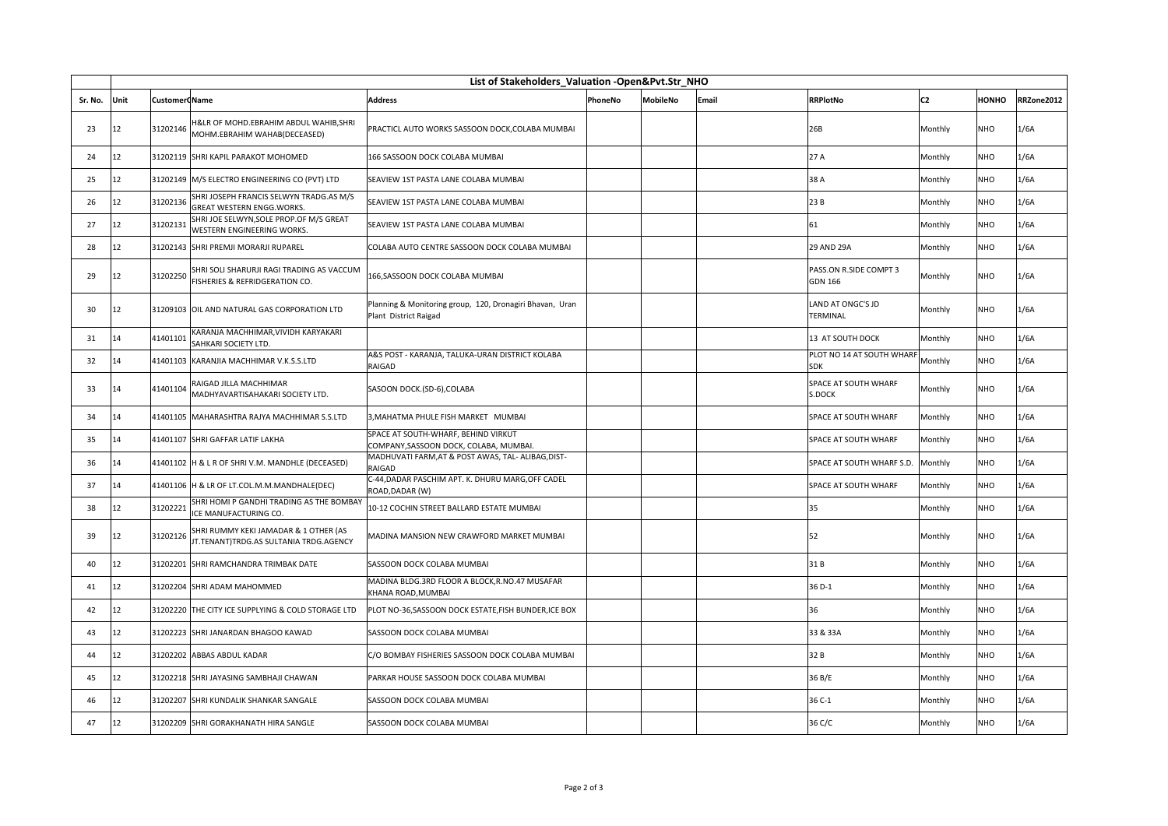|         | List of Stakeholders_Valuation -Open&Pvt.Str_NHO |                      |                                                                                 |                                                                                   |         |          |       |                                          |                |              |            |
|---------|--------------------------------------------------|----------------------|---------------------------------------------------------------------------------|-----------------------------------------------------------------------------------|---------|----------|-------|------------------------------------------|----------------|--------------|------------|
| Sr. No. | Unit                                             | <b>Customer Name</b> |                                                                                 | <b>Address</b>                                                                    | PhoneNo | MobileNo | Email | <b>RRPlotNo</b>                          | C <sub>2</sub> | <b>HONHO</b> | RRZone2012 |
| 23      | 12                                               | 31202146             | H&LR OF MOHD.EBRAHIM ABDUL WAHIB,SHRI<br>MOHM.EBRAHIM WAHAB(DECEASED)           | PRACTICL AUTO WORKS SASSOON DOCK, COLABA MUMBAI                                   |         |          |       | 26B                                      | Monthly        | <b>NHO</b>   | 1/6A       |
| 24      | 12                                               |                      | 31202119 SHRI KAPIL PARAKOT MOHOMED                                             | 166 SASSOON DOCK COLABA MUMBAI                                                    |         |          |       | 27 A                                     | Monthly        | <b>NHO</b>   | 1/6A       |
| 25      | 12                                               |                      | 31202149 M/S ELECTRO ENGINEERING CO (PVT) LTD                                   | SEAVIEW 1ST PASTA LANE COLABA MUMBAI                                              |         |          |       | 38 A                                     | Monthly        | <b>NHO</b>   | 1/6A       |
| 26      | 12                                               | 31202136             | SHRI JOSEPH FRANCIS SELWYN TRADG.AS M/S<br>GREAT WESTERN ENGG.WORKS.            | SEAVIEW 1ST PASTA LANE COLABA MUMBAI                                              |         |          |       | 23 B                                     | Monthly        | <b>NHO</b>   | 1/6A       |
| 27      | 12                                               | 31202131             | SHRI JOE SELWYN, SOLE PROP.OF M/S GREAT<br>WESTERN ENGINEERING WORKS.           | SEAVIEW 1ST PASTA LANE COLABA MUMBAI                                              |         |          |       | 61                                       | Monthly        | <b>NHO</b>   | 1/6A       |
| 28      | 12                                               |                      | 31202143 SHRI PREMJI MORARJI RUPAREL                                            | COLABA AUTO CENTRE SASSOON DOCK COLABA MUMBAI                                     |         |          |       | 29 AND 29A                               | Monthly        | <b>NHO</b>   | 1/6A       |
| 29      | 12                                               | 31202250             | SHRI SOLI SHARURJI RAGI TRADING AS VACCUM<br>FISHERIES & REFRIDGERATION CO.     | 166, SASSOON DOCK COLABA MUMBAI                                                   |         |          |       | PASS.ON R.SIDE COMPT 3<br><b>GDN 166</b> | Monthly        | <b>NHO</b>   | 1/6A       |
| 30      | 12                                               |                      | 31209103 OIL AND NATURAL GAS CORPORATION LTD                                    | Planning & Monitoring group, 120, Dronagiri Bhavan, Uran<br>Plant District Raigad |         |          |       | LAND AT ONGC'S JD<br>TERMINAL            | Monthly        | <b>NHO</b>   | 1/6A       |
| 31      | 14                                               | 41401101             | KARANJA MACHHIMAR,VIVIDH KARYAKARI<br>SAHKARI SOCIETY LTD.                      |                                                                                   |         |          |       | 13 AT SOUTH DOCK                         | Monthly        | NHO          | 1/6A       |
| 32      | 14                                               |                      | 41401103 KARANJIA MACHHIMAR V.K.S.S.LTD                                         | A&S POST - KARANJA, TALUKA-URAN DISTRICT KOLABA<br>RAIGAD                         |         |          |       | PLOT NO 14 AT SOUTH WHARF<br><b>SDK</b>  | Monthly        | <b>NHO</b>   | 1/6A       |
| 33      | 14                                               | 41401104             | RAIGAD JILLA MACHHIMAR<br>MADHYAVARTISAHAKARI SOCIETY LTD.                      | SASOON DOCK.(SD-6),COLABA                                                         |         |          |       | <b>SPACE AT SOUTH WHARF</b><br>S.DOCK    | Monthly        | <b>NHO</b>   | 1/6A       |
| 34      | 14                                               |                      | 41401105 MAHARASHTRA RAJYA MACHHIMAR S.S.LTD                                    | 3, MAHATMA PHULE FISH MARKET MUMBAI                                               |         |          |       | SPACE AT SOUTH WHARF                     | Monthly        | <b>NHO</b>   | 1/6A       |
| 35      | 14                                               |                      | 41401107 SHRI GAFFAR LATIF LAKHA                                                | SPACE AT SOUTH-WHARF, BEHIND VIRKUT<br>COMPANY, SASSOON DOCK, COLABA, MUMBAI.     |         |          |       | SPACE AT SOUTH WHARF                     | Monthly        | NHO          | 1/6A       |
| 36      | 14                                               |                      | 41401102 H & L R OF SHRI V.M. MANDHLE (DECEASED)                                | MADHUVATI FARM, AT & POST AWAS, TAL- ALIBAG, DIST-<br>RAIGAD                      |         |          |       | SPACE AT SOUTH WHARF S.D.                | Monthly        | NHO          | 1/6A       |
| 37      | 14                                               |                      | 41401106 H & LR OF LT.COL.M.M.MANDHALE(DEC)                                     | C-44, DADAR PASCHIM APT. K. DHURU MARG, OFF CADEL<br>ROAD, DADAR (W)              |         |          |       | SPACE AT SOUTH WHARF                     | Monthly        | <b>NHO</b>   | 1/6A       |
| 38      | 12                                               | 31202221             | SHRI HOMI P GANDHI TRADING AS THE BOMBAY<br>ICE MANUFACTURING CO.               | 10-12 COCHIN STREET BALLARD ESTATE MUMBAI                                         |         |          |       | 35                                       | Monthly        | NHO          | 1/6A       |
| 39      | 12                                               | 31202126             | SHRI RUMMY KEKI JAMADAR & 1 OTHER (AS<br>JT.TENANT)TRDG.AS SULTANIA TRDG.AGENCY | MADINA MANSION NEW CRAWFORD MARKET MUMBAI                                         |         |          |       | 52                                       | Monthly        | NHO          | 1/6A       |
| 40      | 12                                               |                      | 31202201 SHRI RAMCHANDRA TRIMBAK DATE                                           | SASSOON DOCK COLABA MUMBAI                                                        |         |          |       | 31B                                      | Monthly        | <b>NHO</b>   | 1/6A       |
| 41      | 12                                               | 31202204             | SHRI ADAM MAHOMMED                                                              | MADINA BLDG.3RD FLOOR A BLOCK, R.NO.47 MUSAFAR<br>KHANA ROAD, MUMBAI              |         |          |       | 36 D-1                                   | Monthly        | <b>NHO</b>   | 1/6A       |
| 42      | 12                                               |                      | 31202220 THE CITY ICE SUPPLYING & COLD STORAGE LTD                              | PLOT NO-36, SASSOON DOCK ESTATE, FISH BUNDER, ICE BOX                             |         |          |       | 36                                       | Monthly        | <b>NHO</b>   | 1/6A       |
| 43      | 12                                               |                      | 31202223 SHRI JANARDAN BHAGOO KAWAD                                             | SASSOON DOCK COLABA MUMBAI                                                        |         |          |       | 33 & 33A                                 | Monthly        | NHO          | 1/6A       |
| 44      | 12                                               |                      | 31202202 ABBAS ABDUL KADAR                                                      | C/O BOMBAY FISHERIES SASSOON DOCK COLABA MUMBAI                                   |         |          |       | 32 B                                     | Monthly        | <b>NHO</b>   | 1/6A       |
| 45      | 12                                               |                      | 31202218 SHRI JAYASING SAMBHAJI CHAWAN                                          | PARKAR HOUSE SASSOON DOCK COLABA MUMBAI                                           |         |          |       | 36 B/E                                   | Monthly        | <b>NHO</b>   | 1/6A       |
| 46      | 12                                               |                      | 31202207 SHRI KUNDALIK SHANKAR SANGALE                                          | SASSOON DOCK COLABA MUMBAI                                                        |         |          |       | 36 C-1                                   | Monthly        | <b>NHO</b>   | 1/6A       |
| 47      | 12                                               |                      | 31202209 SHRI GORAKHANATH HIRA SANGLE                                           | SASSOON DOCK COLABA MUMBAI                                                        |         |          |       | 36 C/C                                   | Monthly        | <b>NHO</b>   | 1/6A       |